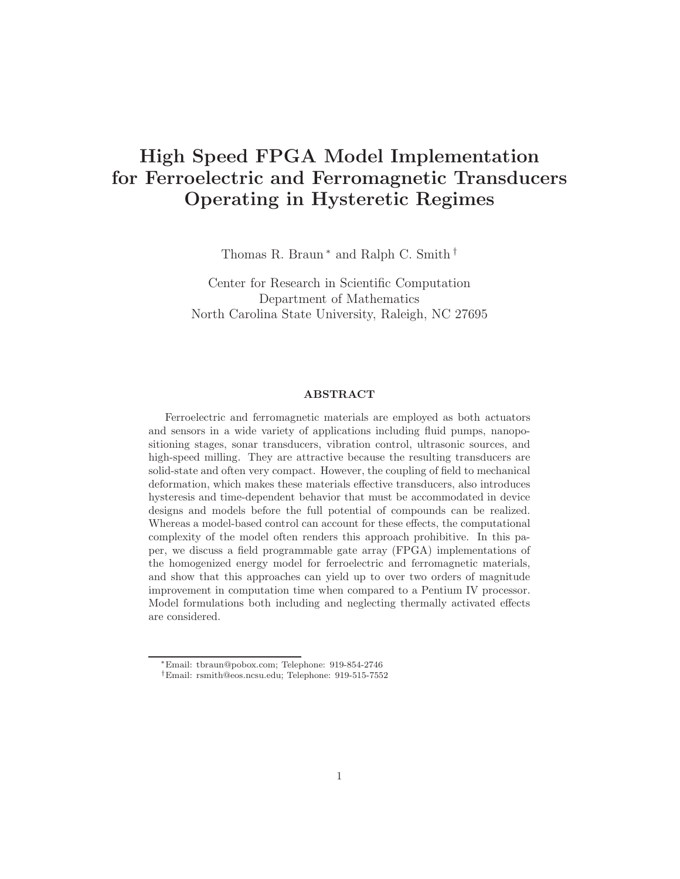# High Speed FPGA Model Implementation for Ferroelectric and Ferromagnetic Transducers Operating in Hysteretic Regimes

Thomas R. Braun<sup>\*</sup> and Ralph C. Smith<sup>†</sup>

Center for Research in Scientific Computation Department of Mathematics North Carolina State University, Raleigh, NC 27695

# ABSTRACT

Ferroelectric and ferromagnetic materials are employed as both actuators and sensors in a wide variety of applications including fluid pumps, nanopositioning stages, sonar transducers, vibration control, ultrasonic sources, and high-speed milling. They are attractive because the resulting transducers are solid-state and often very compact. However, the coupling of field to mechanical deformation, which makes these materials effective transducers, also introduces hysteresis and time-dependent behavior that must be accommodated in device designs and models before the full potential of compounds can be realized. Whereas a model-based control can account for these effects, the computational complexity of the model often renders this approach prohibitive. In this paper, we discuss a field programmable gate array (FPGA) implementations of the homogenized energy model for ferroelectric and ferromagnetic materials, and show that this approaches can yield up to over two orders of magnitude improvement in computation time when compared to a Pentium IV processor. Model formulations both including and neglecting thermally activated effects are considered.

<sup>∗</sup>Email: tbraun@pobox.com; Telephone: 919-854-2746

<sup>†</sup>Email: rsmith@eos.ncsu.edu; Telephone: 919-515-7552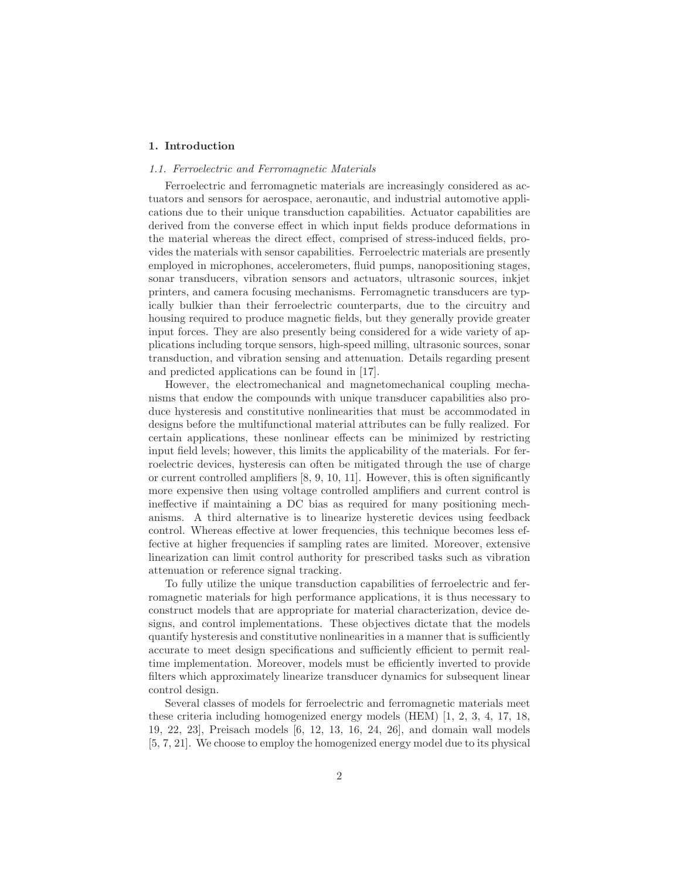## 1. Introduction

## 1.1. Ferroelectric and Ferromagnetic Materials

Ferroelectric and ferromagnetic materials are increasingly considered as actuators and sensors for aerospace, aeronautic, and industrial automotive applications due to their unique transduction capabilities. Actuator capabilities are derived from the converse effect in which input fields produce deformations in the material whereas the direct effect, comprised of stress-induced fields, provides the materials with sensor capabilities. Ferroelectric materials are presently employed in microphones, accelerometers, fluid pumps, nanopositioning stages, sonar transducers, vibration sensors and actuators, ultrasonic sources, inkjet printers, and camera focusing mechanisms. Ferromagnetic transducers are typically bulkier than their ferroelectric counterparts, due to the circuitry and housing required to produce magnetic fields, but they generally provide greater input forces. They are also presently being considered for a wide variety of applications including torque sensors, high-speed milling, ultrasonic sources, sonar transduction, and vibration sensing and attenuation. Details regarding present and predicted applications can be found in [17].

However, the electromechanical and magnetomechanical coupling mechanisms that endow the compounds with unique transducer capabilities also produce hysteresis and constitutive nonlinearities that must be accommodated in designs before the multifunctional material attributes can be fully realized. For certain applications, these nonlinear effects can be minimized by restricting input field levels; however, this limits the applicability of the materials. For ferroelectric devices, hysteresis can often be mitigated through the use of charge or current controlled amplifiers [8, 9, 10, 11]. However, this is often significantly more expensive then using voltage controlled amplifiers and current control is ineffective if maintaining a DC bias as required for many positioning mechanisms. A third alternative is to linearize hysteretic devices using feedback control. Whereas effective at lower frequencies, this technique becomes less effective at higher frequencies if sampling rates are limited. Moreover, extensive linearization can limit control authority for prescribed tasks such as vibration attenuation or reference signal tracking.

To fully utilize the unique transduction capabilities of ferroelectric and ferromagnetic materials for high performance applications, it is thus necessary to construct models that are appropriate for material characterization, device designs, and control implementations. These objectives dictate that the models quantify hysteresis and constitutive nonlinearities in a manner that is sufficiently accurate to meet design specifications and sufficiently efficient to permit realtime implementation. Moreover, models must be efficiently inverted to provide filters which approximately linearize transducer dynamics for subsequent linear control design.

Several classes of models for ferroelectric and ferromagnetic materials meet these criteria including homogenized energy models (HEM) [1, 2, 3, 4, 17, 18, 19, 22, 23], Preisach models [6, 12, 13, 16, 24, 26], and domain wall models [5, 7, 21]. We choose to employ the homogenized energy model due to its physical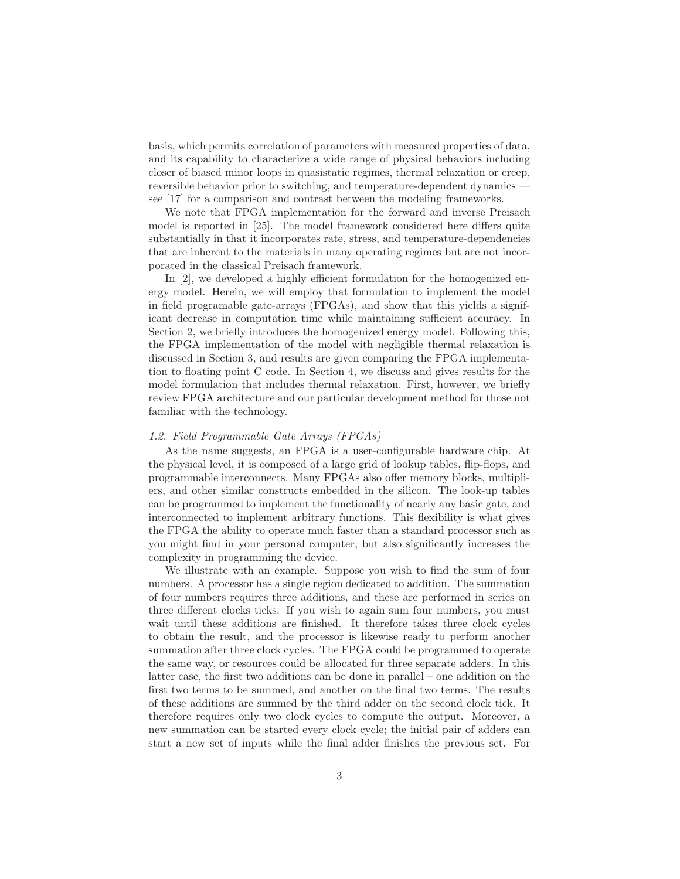basis, which permits correlation of parameters with measured properties of data, and its capability to characterize a wide range of physical behaviors including closer of biased minor loops in quasistatic regimes, thermal relaxation or creep, reversible behavior prior to switching, and temperature-dependent dynamics see [17] for a comparison and contrast between the modeling frameworks.

We note that FPGA implementation for the forward and inverse Preisach model is reported in [25]. The model framework considered here differs quite substantially in that it incorporates rate, stress, and temperature-dependencies that are inherent to the materials in many operating regimes but are not incorporated in the classical Preisach framework.

In [2], we developed a highly efficient formulation for the homogenized energy model. Herein, we will employ that formulation to implement the model in field programable gate-arrays (FPGAs), and show that this yields a significant decrease in computation time while maintaining sufficient accuracy. In Section 2, we briefly introduces the homogenized energy model. Following this, the FPGA implementation of the model with negligible thermal relaxation is discussed in Section 3, and results are given comparing the FPGA implementation to floating point C code. In Section 4, we discuss and gives results for the model formulation that includes thermal relaxation. First, however, we briefly review FPGA architecture and our particular development method for those not familiar with the technology.

#### 1.2. Field Programmable Gate Arrays (FPGAs)

As the name suggests, an FPGA is a user-configurable hardware chip. At the physical level, it is composed of a large grid of lookup tables, flip-flops, and programmable interconnects. Many FPGAs also offer memory blocks, multipliers, and other similar constructs embedded in the silicon. The look-up tables can be programmed to implement the functionality of nearly any basic gate, and interconnected to implement arbitrary functions. This flexibility is what gives the FPGA the ability to operate much faster than a standard processor such as you might find in your personal computer, but also significantly increases the complexity in programming the device.

We illustrate with an example. Suppose you wish to find the sum of four numbers. A processor has a single region dedicated to addition. The summation of four numbers requires three additions, and these are performed in series on three different clocks ticks. If you wish to again sum four numbers, you must wait until these additions are finished. It therefore takes three clock cycles to obtain the result, and the processor is likewise ready to perform another summation after three clock cycles. The FPGA could be programmed to operate the same way, or resources could be allocated for three separate adders. In this latter case, the first two additions can be done in parallel – one addition on the first two terms to be summed, and another on the final two terms. The results of these additions are summed by the third adder on the second clock tick. It therefore requires only two clock cycles to compute the output. Moreover, a new summation can be started every clock cycle; the initial pair of adders can start a new set of inputs while the final adder finishes the previous set. For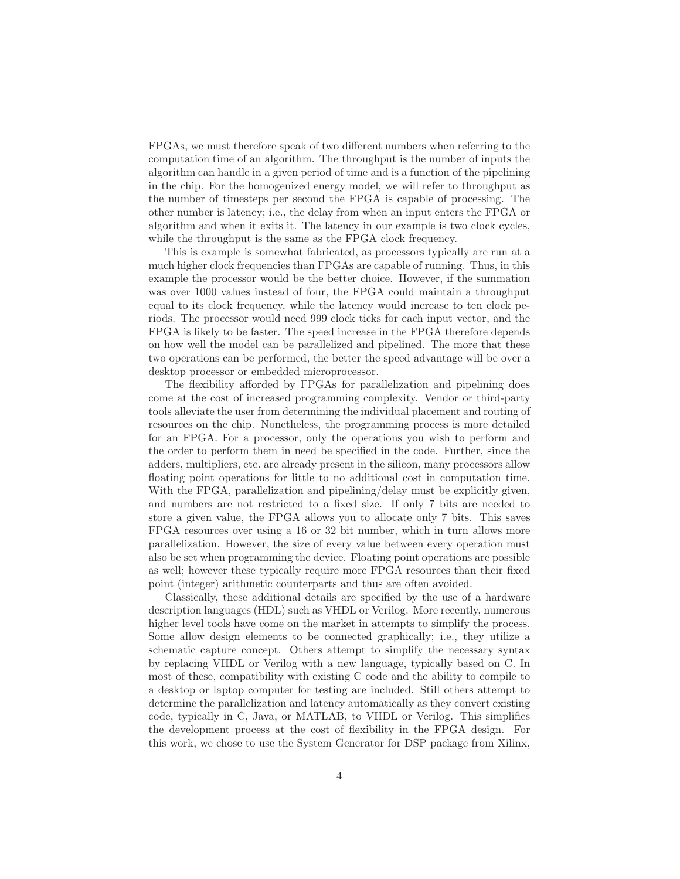FPGAs, we must therefore speak of two different numbers when referring to the computation time of an algorithm. The throughput is the number of inputs the algorithm can handle in a given period of time and is a function of the pipelining in the chip. For the homogenized energy model, we will refer to throughput as the number of timesteps per second the FPGA is capable of processing. The other number is latency; i.e., the delay from when an input enters the FPGA or algorithm and when it exits it. The latency in our example is two clock cycles, while the throughput is the same as the FPGA clock frequency.

This is example is somewhat fabricated, as processors typically are run at a much higher clock frequencies than FPGAs are capable of running. Thus, in this example the processor would be the better choice. However, if the summation was over 1000 values instead of four, the FPGA could maintain a throughput equal to its clock frequency, while the latency would increase to ten clock periods. The processor would need 999 clock ticks for each input vector, and the FPGA is likely to be faster. The speed increase in the FPGA therefore depends on how well the model can be parallelized and pipelined. The more that these two operations can be performed, the better the speed advantage will be over a desktop processor or embedded microprocessor.

The flexibility afforded by FPGAs for parallelization and pipelining does come at the cost of increased programming complexity. Vendor or third-party tools alleviate the user from determining the individual placement and routing of resources on the chip. Nonetheless, the programming process is more detailed for an FPGA. For a processor, only the operations you wish to perform and the order to perform them in need be specified in the code. Further, since the adders, multipliers, etc. are already present in the silicon, many processors allow floating point operations for little to no additional cost in computation time. With the FPGA, parallelization and pipelining/delay must be explicitly given, and numbers are not restricted to a fixed size. If only 7 bits are needed to store a given value, the FPGA allows you to allocate only 7 bits. This saves FPGA resources over using a 16 or 32 bit number, which in turn allows more parallelization. However, the size of every value between every operation must also be set when programming the device. Floating point operations are possible as well; however these typically require more FPGA resources than their fixed point (integer) arithmetic counterparts and thus are often avoided.

Classically, these additional details are specified by the use of a hardware description languages (HDL) such as VHDL or Verilog. More recently, numerous higher level tools have come on the market in attempts to simplify the process. Some allow design elements to be connected graphically; i.e., they utilize a schematic capture concept. Others attempt to simplify the necessary syntax by replacing VHDL or Verilog with a new language, typically based on C. In most of these, compatibility with existing C code and the ability to compile to a desktop or laptop computer for testing are included. Still others attempt to determine the parallelization and latency automatically as they convert existing code, typically in C, Java, or MATLAB, to VHDL or Verilog. This simplifies the development process at the cost of flexibility in the FPGA design. For this work, we chose to use the System Generator for DSP package from Xilinx,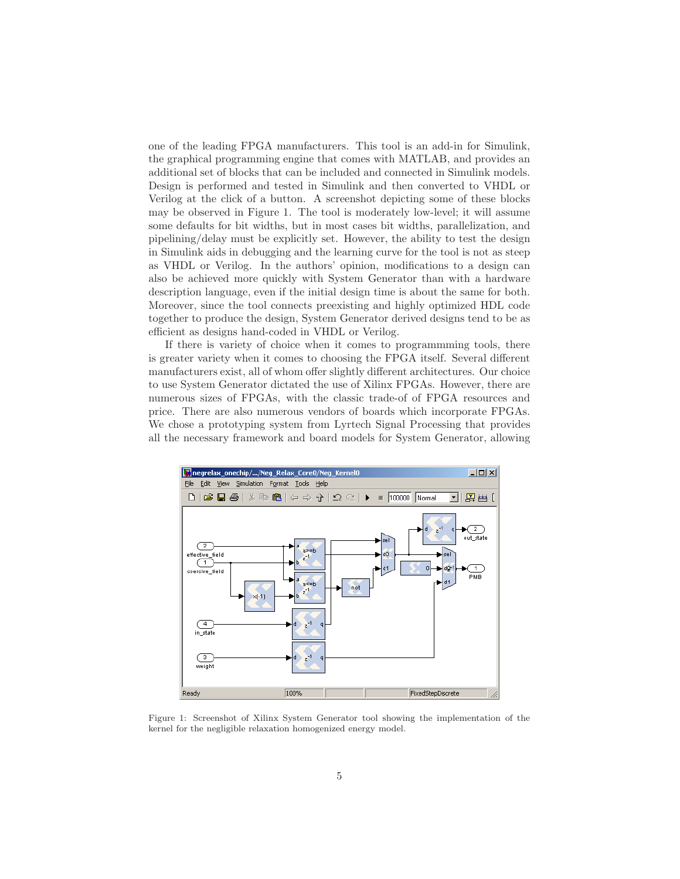one of the leading FPGA manufacturers. This tool is an add-in for Simulink, the graphical programming engine that comes with MATLAB, and provides an additional set of blocks that can be included and connected in Simulink models. Design is performed and tested in Simulink and then converted to VHDL or Verilog at the click of a button. A screenshot depicting some of these blocks may be observed in Figure 1. The tool is moderately low-level; it will assume some defaults for bit widths, but in most cases bit widths, parallelization, and pipelining/delay must be explicitly set. However, the ability to test the design in Simulink aids in debugging and the learning curve for the tool is not as steep as VHDL or Verilog. In the authors' opinion, modifications to a design can also be achieved more quickly with System Generator than with a hardware description language, even if the initial design time is about the same for both. Moreover, since the tool connects preexisting and highly optimized HDL code together to produce the design, System Generator derived designs tend to be as efficient as designs hand-coded in VHDL or Verilog.

If there is variety of choice when it comes to programmming tools, there is greater variety when it comes to choosing the FPGA itself. Several different manufacturers exist, all of whom offer slightly different architectures. Our choice to use System Generator dictated the use of Xilinx FPGAs. However, there are numerous sizes of FPGAs, with the classic trade-of of FPGA resources and price. There are also numerous vendors of boards which incorporate FPGAs. We chose a prototyping system from Lyrtech Signal Processing that provides all the necessary framework and board models for System Generator, allowing



Figure 1: Screenshot of Xilinx System Generator tool showing the implementation of the kernel for the negligible relaxation homogenized energy model.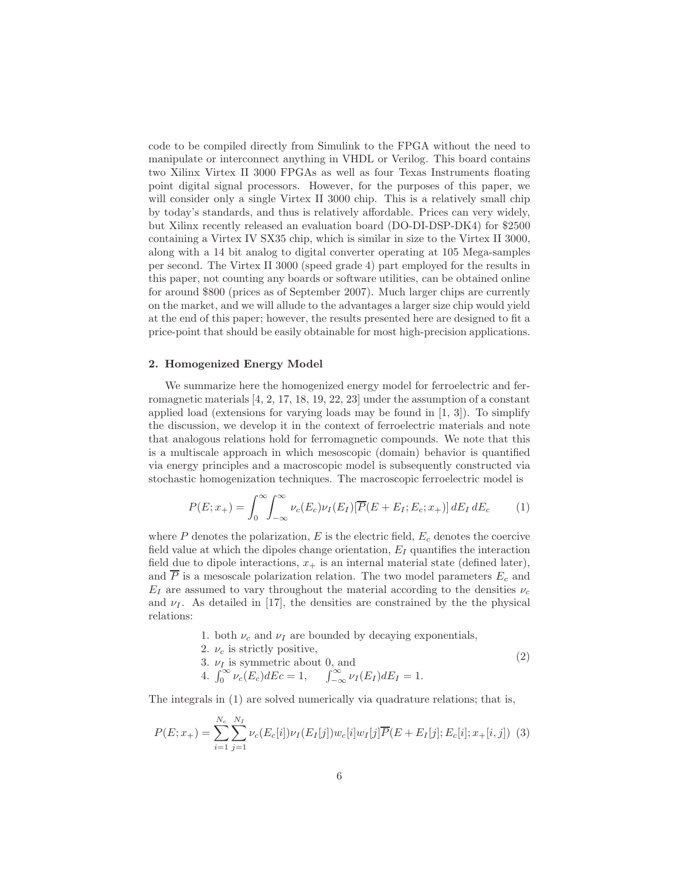code to be compiled directly from Simulink to the FPGA without the need to manipulate or interconnect anything in VHDL or Verilog. This board contains two Xilinx Virtex II 3000 FPGAs as well as four Texas Instruments floating point digital signal processors. However, for the purposes of this paper, we will consider only a single Virtex II 3000 chip. This is a relatively small chip by today's standards, and thus is relatively affordable. Prices can very widely, but Xilinx recently released an evaluation board (DO-DI-DSP-DK4) for \$2500 containing a Virtex IV SX35 chip, which is similar in size to the Virtex II 3000, along with a 14 bit analog to digital converter operating at 105 Mega-samples per second. The Virtex II 3000 (speed grade 4) part employed for the results in this paper, not counting any boards or software utilities, can be obtained online for around \$800 (prices as of September 2007). Much larger chips are currently on the market, and we will allude to the advantages a larger size chip would yield at the end of this paper; however, the results presented here are designed to fit a price-point that should be easily obtainable for most high-precision applications.

## 2. Homogenized Energy Model

We summarize here the homogenized energy model for ferroelectric and ferromagnetic materials [4, 2, 17, 18, 19, 22, 23] under the assumption of a constant applied load (extensions for varying loads may be found in  $[1, 3]$ ). To simplify the discussion, we develop it in the context of ferroelectric materials and note that analogous relations hold for ferromagnetic compounds. We note that this is a multiscale approach in which mesoscopic (domain) behavior is quantified via energy principles and a macroscopic model is subsequently constructed via stochastic homogenization techniques. The macroscopic ferroelectric model is

$$
P(E; x_{+}) = \int_{0}^{\infty} \int_{-\infty}^{\infty} \nu_{c}(E_{c}) \nu_{I}(E_{I}) [\overline{P}(E + E_{I}; E_{c}; x_{+})] dE_{I} dE_{c} \qquad (1)
$$

where  $P$  denotes the polarization,  $E$  is the electric field,  $E_c$  denotes the coercive field value at which the dipoles change orientation,  $E_I$  quantifies the interaction field due to dipole interactions,  $x_+$  is an internal material state (defined later), and  $\overline{P}$  is a mesoscale polarization relation. The two model parameters  $E_c$  and  $E_I$  are assumed to vary throughout the material according to the densities  $\nu_c$ and  $\nu_I$ . As detailed in [17], the densities are constrained by the the physical relations:

1. both  $\nu_c$  and  $\nu_I$  are bounded by decaying exponentials,

(2)

- 2.  $\nu_c$  is strictly positive,
	-
- 3.  $\nu_I$  is symmetric about 0, and<br>4.  $\int_0^\infty \nu_c(E_c) dE_c = 1$ ,  $\int_{-\infty}^\infty \nu_I(E_I) dE_I = 1$ .

The integrals in (1) are solved numerically via quadrature relations; that is,

$$
P(E; x_{+}) = \sum_{i=1}^{N_{c}} \sum_{j=1}^{N_{I}} \nu_{c}(E_{c}[i]) \nu_{I}(E_{I}[j]) w_{c}[i] w_{I}[j] \overline{P}(E + E_{I}[j]; E_{c}[i]; x_{+}[i, j]) \tag{3}
$$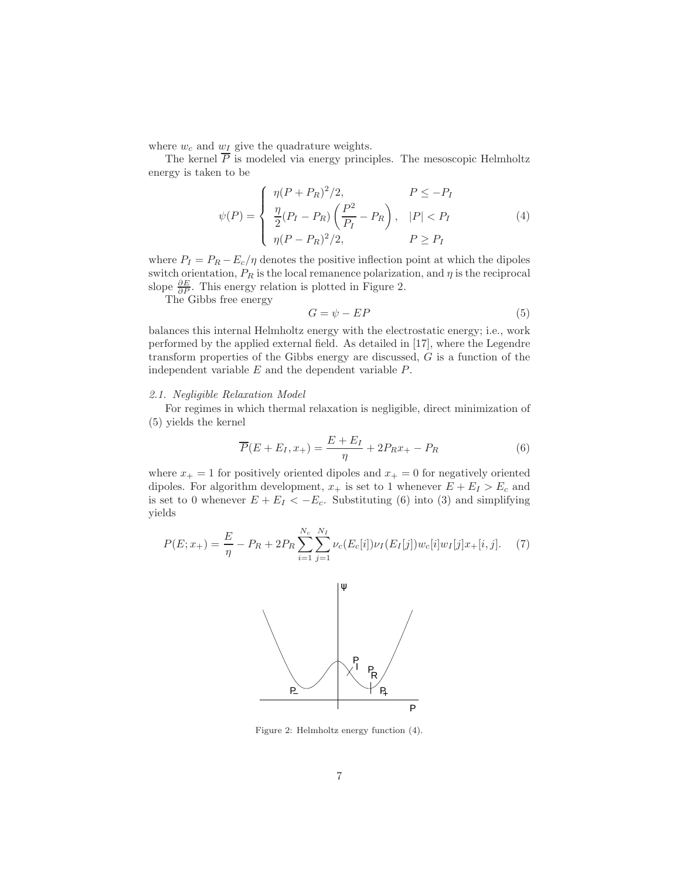where  $w_c$  and  $w_I$  give the quadrature weights.

The kernel  $\overline{P}$  is modeled via energy principles. The mesoscopic Helmholtz energy is taken to be

$$
\psi(P) = \begin{cases} \eta(P + P_R)^2/2, & P \le -P_I \\ \frac{\eta}{2}(P_I - P_R) \left(\frac{P^2}{P_I} - P_R\right), & |P| < P_I \\ \eta(P - P_R)^2/2, & P \ge P_I \end{cases} \tag{4}
$$

where  $P_I = P_R - E_c/\eta$  denotes the positive inflection point at which the dipoles switch orientation,  $P_R$  is the local remanence polarization, and  $\eta$  is the reciprocal slope  $\frac{\partial E}{\partial P}$ . This energy relation is plotted in Figure 2.

The Gibbs free energy

$$
G = \psi - EP \tag{5}
$$

balances this internal Helmholtz energy with the electrostatic energy; i.e., work performed by the applied external field. As detailed in [17], where the Legendre transform properties of the Gibbs energy are discussed,  $G$  is a function of the independent variable  $E$  and the dependent variable  $P$ .

#### 2.1. Negligible Relaxation Model

For regimes in which thermal relaxation is negligible, direct minimization of (5) yields the kernel

$$
\overline{P}(E + E_I, x_+) = \frac{E + E_I}{\eta} + 2P_R x_+ - P_R \tag{6}
$$

where  $x_+ = 1$  for positively oriented dipoles and  $x_+ = 0$  for negatively oriented dipoles. For algorithm development,  $x_+$  is set to 1 whenever  $E + E_I > E_c$  and is set to 0 whenever  $E + E_I < -E_c$ . Substituting (6) into (3) and simplifying yields

$$
P(E; x_{+}) = \frac{E}{\eta} - P_{R} + 2P_{R} \sum_{i=1}^{N_{c}} \sum_{j=1}^{N_{I}} \nu_{c}(E_{c}[i]) \nu_{I}(E_{I}[j]) w_{c}[i] w_{I}[j] x_{+}[i, j]. \tag{7}
$$



Figure 2: Helmholtz energy function (4).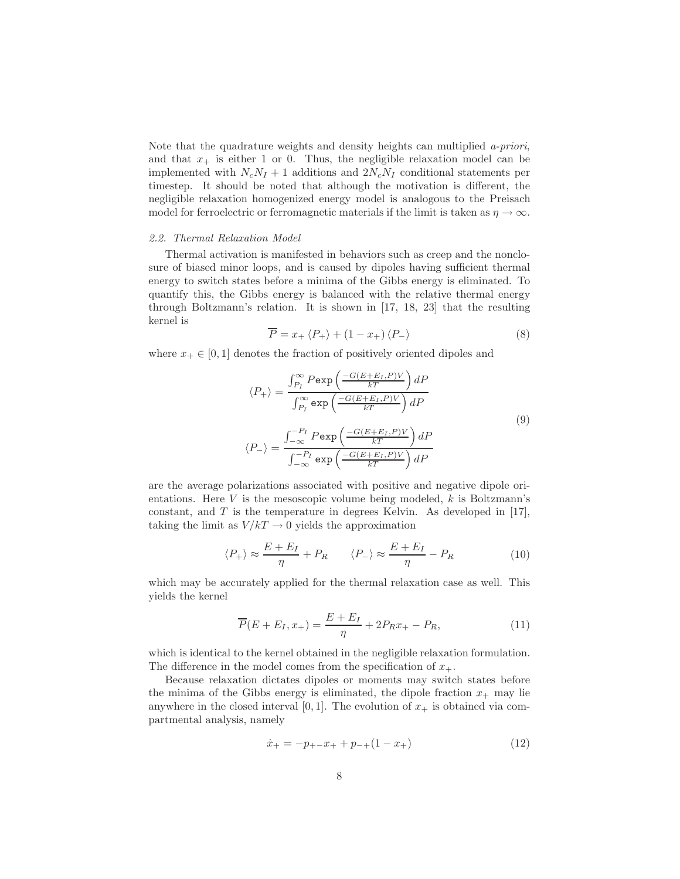Note that the quadrature weights and density heights can multiplied a-priori, and that  $x_+$  is either 1 or 0. Thus, the negligible relaxation model can be implemented with  $N_cN_I + 1$  additions and  $2N_cN_I$  conditional statements per timestep. It should be noted that although the motivation is different, the negligible relaxation homogenized energy model is analogous to the Preisach model for ferroelectric or ferromagnetic materials if the limit is taken as  $\eta \to \infty$ .

#### 2.2. Thermal Relaxation Model

Thermal activation is manifested in behaviors such as creep and the nonclosure of biased minor loops, and is caused by dipoles having sufficient thermal energy to switch states before a minima of the Gibbs energy is eliminated. To quantify this, the Gibbs energy is balanced with the relative thermal energy through Boltzmann's relation. It is shown in [17, 18, 23] that the resulting kernel is

$$
\overline{P} = x_+ \langle P_+ \rangle + (1 - x_+) \langle P_- \rangle \tag{8}
$$

where  $x_+ \in [0, 1]$  denotes the fraction of positively oriented dipoles and

$$
\langle P_{+} \rangle = \frac{\int_{P_{I}}^{\infty} P \exp\left(\frac{-G(E + E_{I}, P)V}{kT}\right) dP}{\int_{P_{I}}^{\infty} \exp\left(\frac{-G(E + E_{I}, P)V}{kT}\right) dP}
$$

$$
\langle P_{-} \rangle = \frac{\int_{-\infty}^{-P_{I}} P \exp\left(\frac{-G(E + E_{I}, P)V}{kT}\right) dP}{\int_{-\infty}^{-P_{I}} \exp\left(\frac{-G(E + E_{I}, P)V}{kT}\right) dP}
$$
(9)

are the average polarizations associated with positive and negative dipole orientations. Here  $V$  is the mesoscopic volume being modeled,  $k$  is Boltzmann's constant, and  $T$  is the temperature in degrees Kelvin. As developed in [17], taking the limit as  $V/kT \rightarrow 0$  yields the approximation

$$
\langle P_{+} \rangle \approx \frac{E + E_{I}}{\eta} + P_{R} \qquad \langle P_{-} \rangle \approx \frac{E + E_{I}}{\eta} - P_{R} \qquad (10)
$$

which may be accurately applied for the thermal relaxation case as well. This yields the kernel

$$
\overline{P}(E + E_I, x_+) = \frac{E + E_I}{\eta} + 2P_R x_+ - P_R, \tag{11}
$$

which is identical to the kernel obtained in the negligible relaxation formulation. The difference in the model comes from the specification of  $x_{+}$ .

Because relaxation dictates dipoles or moments may switch states before the minima of the Gibbs energy is eliminated, the dipole fraction  $x_+$  may lie anywhere in the closed interval [0, 1]. The evolution of  $x_+$  is obtained via compartmental analysis, namely

$$
\dot{x}_{+} = -p_{+-}x_{+} + p_{-+}(1 - x_{+}) \tag{12}
$$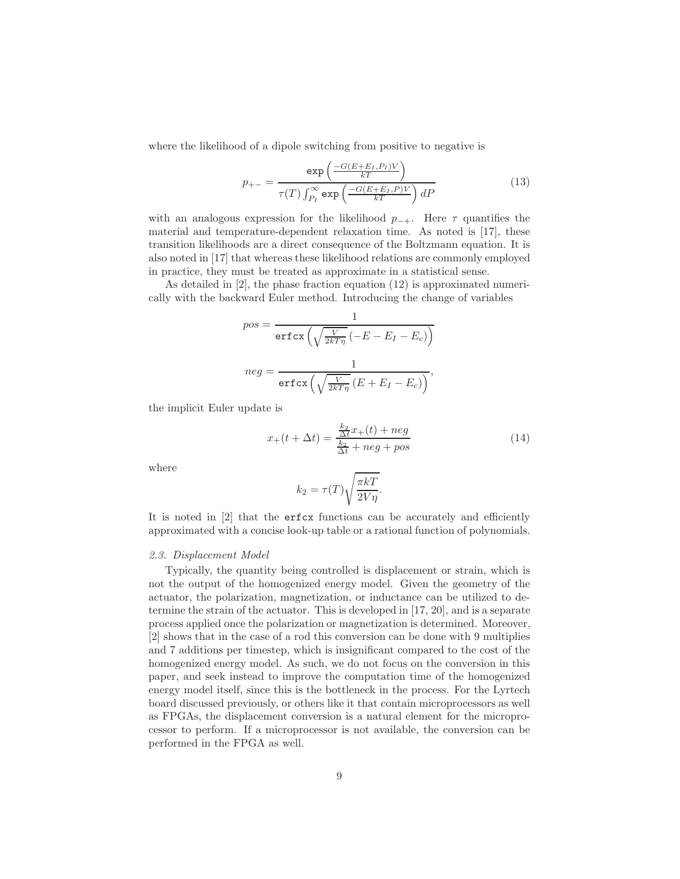where the likelihood of a dipole switching from positive to negative is

$$
p_{+-} = \frac{\exp\left(\frac{-G(E + E_I, P_I)V}{kT}\right)}{\tau(T)\int_{P_I}^{\infty} \exp\left(\frac{-G(E + E_I, P)V}{kT}\right)dP}
$$
(13)

with an analogous expression for the likelihood  $p_{-+}$ . Here  $\tau$  quantifies the material and temperature-dependent relaxation time. As noted is [17], these transition likelihoods are a direct consequence of the Boltzmann equation. It is also noted in [17] that whereas these likelihood relations are commonly employed in practice, they must be treated as approximate in a statistical sense.

As detailed in [2], the phase fraction equation (12) is approximated numerically with the backward Euler method. Introducing the change of variables

$$
pos = \frac{1}{\text{erfcx}\left(\sqrt{\frac{V}{2kT\eta}}\left(-E - E_I - E_c\right)\right)}
$$

$$
neg = \frac{1}{\text{erfcx}\left(\sqrt{\frac{V}{2kT\eta}}\left(E + E_I - E_c\right)\right)},
$$

the implicit Euler update is

$$
x_{+}(t + \Delta t) = \frac{\frac{k_2}{\Delta t}x_{+}(t) + neg}{\frac{k_2}{\Delta t} + neg + pos}
$$
 (14)

where

$$
k_2 = \tau(T) \sqrt{\frac{\pi kT}{2V\eta}}.
$$

It is noted in [2] that the erfcx functions can be accurately and efficiently approximated with a concise look-up table or a rational function of polynomials.

#### 2.3. Displacement Model

Typically, the quantity being controlled is displacement or strain, which is not the output of the homogenized energy model. Given the geometry of the actuator, the polarization, magnetization, or inductance can be utilized to determine the strain of the actuator. This is developed in [17, 20], and is a separate process applied once the polarization or magnetization is determined. Moreover, [2] shows that in the case of a rod this conversion can be done with 9 multiplies and 7 additions per timestep, which is insignificant compared to the cost of the homogenized energy model. As such, we do not focus on the conversion in this paper, and seek instead to improve the computation time of the homogenized energy model itself, since this is the bottleneck in the process. For the Lyrtech board discussed previously, or others like it that contain microprocessors as well as FPGAs, the displacement conversion is a natural element for the microprocessor to perform. If a microprocessor is not available, the conversion can be performed in the FPGA as well.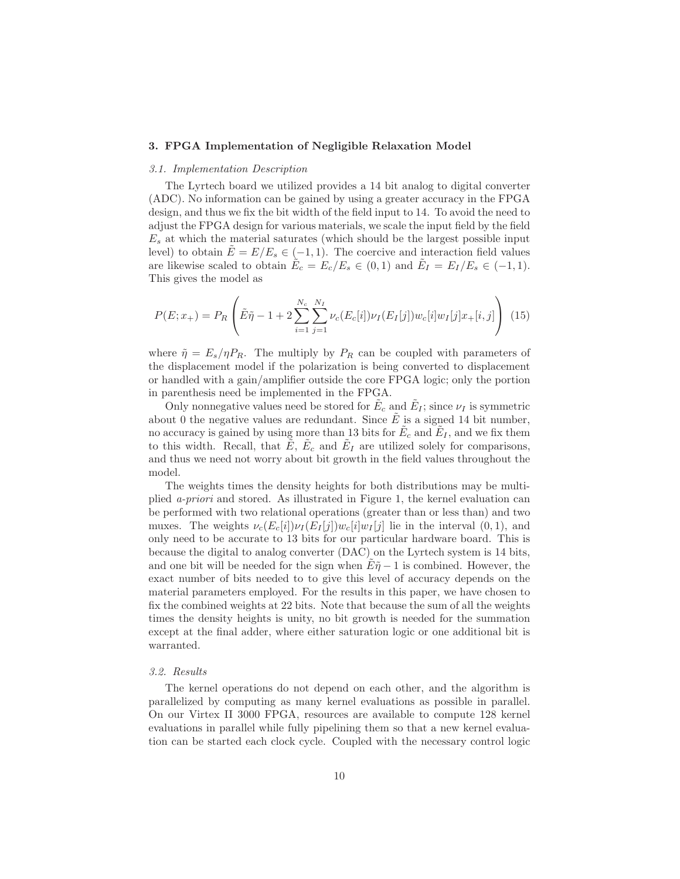## 3. FPGA Implementation of Negligible Relaxation Model

### 3.1. Implementation Description

The Lyrtech board we utilized provides a 14 bit analog to digital converter (ADC). No information can be gained by using a greater accuracy in the FPGA design, and thus we fix the bit width of the field input to 14. To avoid the need to adjust the FPGA design for various materials, we scale the input field by the field  $E<sub>s</sub>$  at which the material saturates (which should be the largest possible input level) to obtain  $\hat{E} = E/E_s \in (-1, 1)$ . The coercive and interaction field values are likewise scaled to obtain  $\tilde{E}_c = E_c/E_s \in (0,1)$  and  $\tilde{E}_I = E_I/E_s \in (-1,1)$ . This gives the model as

$$
P(E; x_{+}) = P_{R}\left(\tilde{E}\tilde{\eta} - 1 + 2\sum_{i=1}^{N_{c}}\sum_{j=1}^{N_{I}}\nu_{c}(E_{c}[i])\nu_{I}(E_{I}[j])w_{c}[i]w_{I}[j]x_{+}[i,j]\right)
$$
(15)

where  $\tilde{\eta} = E_s / \eta P_R$ . The multiply by  $P_R$  can be coupled with parameters of the displacement model if the polarization is being converted to displacement or handled with a gain/amplifier outside the core FPGA logic; only the portion in parenthesis need be implemented in the FPGA.

Only nonnegative values need be stored for  $\tilde{E}_c$  and  $\tilde{E}_I$ ; since  $\nu_I$  is symmetric about 0 the negative values are redundant. Since  $\tilde{E}$  is a signed 14 bit number, no accuracy is gained by using more than 13 bits for  $\tilde{E}_c$  and  $\tilde{E}_I$ , and we fix them to this width. Recall, that  $\tilde{E}$ ,  $\tilde{E}_c$  and  $\tilde{E}_I$  are utilized solely for comparisons, and thus we need not worry about bit growth in the field values throughout the model.

The weights times the density heights for both distributions may be multiplied a-priori and stored. As illustrated in Figure 1, the kernel evaluation can be performed with two relational operations (greater than or less than) and two muxes. The weights  $\nu_c(E_c[i])\nu_I(E_I[j])w_c[i]w_I[j]$  lie in the interval  $(0, 1)$ , and only need to be accurate to 13 bits for our particular hardware board. This is because the digital to analog converter (DAC) on the Lyrtech system is 14 bits, and one bit will be needed for the sign when  $E\tilde{\eta}$  − 1 is combined. However, the exact number of bits needed to to give this level of accuracy depends on the material parameters employed. For the results in this paper, we have chosen to fix the combined weights at 22 bits. Note that because the sum of all the weights times the density heights is unity, no bit growth is needed for the summation except at the final adder, where either saturation logic or one additional bit is warranted.

## 3.2. Results

The kernel operations do not depend on each other, and the algorithm is parallelized by computing as many kernel evaluations as possible in parallel. On our Virtex II 3000 FPGA, resources are available to compute 128 kernel evaluations in parallel while fully pipelining them so that a new kernel evaluation can be started each clock cycle. Coupled with the necessary control logic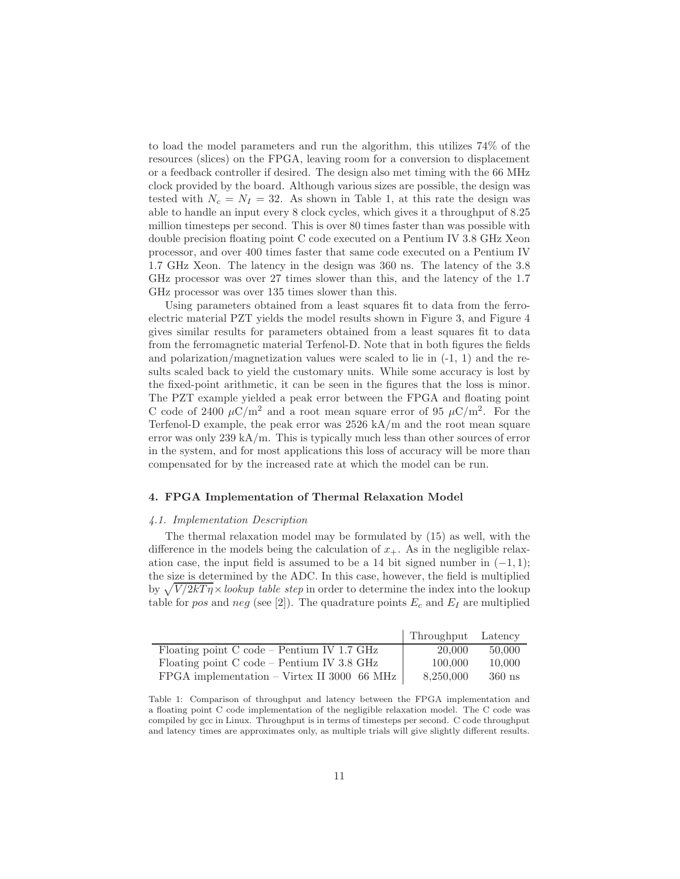to load the model parameters and run the algorithm, this utilizes 74% of the resources (slices) on the FPGA, leaving room for a conversion to displacement or a feedback controller if desired. The design also met timing with the 66 MHz clock provided by the board. Although various sizes are possible, the design was tested with  $N_c = N_I = 32$ . As shown in Table 1, at this rate the design was able to handle an input every 8 clock cycles, which gives it a throughput of 8.25 million timesteps per second. This is over 80 times faster than was possible with double precision floating point C code executed on a Pentium IV 3.8 GHz Xeon processor, and over 400 times faster that same code executed on a Pentium IV 1.7 GHz Xeon. The latency in the design was 360 ns. The latency of the 3.8 GHz processor was over 27 times slower than this, and the latency of the 1.7 GHz processor was over 135 times slower than this.

Using parameters obtained from a least squares fit to data from the ferroelectric material PZT yields the model results shown in Figure 3, and Figure 4 gives similar results for parameters obtained from a least squares fit to data from the ferromagnetic material Terfenol-D. Note that in both figures the fields and polarization/magnetization values were scaled to lie in  $(-1, 1)$  and the results scaled back to yield the customary units. While some accuracy is lost by the fixed-point arithmetic, it can be seen in the figures that the loss is minor. The PZT example yielded a peak error between the FPGA and floating point C code of 2400  $\mu$ C/m<sup>2</sup> and a root mean square error of 95  $\mu$ C/m<sup>2</sup>. For the Terfenol-D example, the peak error was 2526 kA/m and the root mean square error was only 239 kA/m. This is typically much less than other sources of error in the system, and for most applications this loss of accuracy will be more than compensated for by the increased rate at which the model can be run.

#### 4. FPGA Implementation of Thermal Relaxation Model

#### 4.1. Implementation Description

The thermal relaxation model may be formulated by (15) as well, with the difference in the models being the calculation of  $x_{+}$ . As in the negligible relaxation case, the input field is assumed to be a 14 bit signed number in  $(-1, 1)$ ; the size is determined by the ADC. In this case, however, the field is multiplied by  $\sqrt{V/2kT\eta} \times$ lookup table step in order to determine the index into the lookup table for pos and neg (see [2]). The quadrature points  $E_c$  and  $E_I$  are multiplied

|                                               | Throughput Latency |          |
|-----------------------------------------------|--------------------|----------|
| Floating point $C$ code – Pentium IV 1.7 GHz  | 20,000             | 50,000   |
| Floating point C code – Pentium IV 3.8 GHz    | 100,000            | 10,000   |
| $FPGA$ implementation – Virtex II 3000 66 MHz | 8,250,000          | $360$ ns |

Table 1: Comparison of throughput and latency between the FPGA implementation and a floating point C code implementation of the negligible relaxation model. The C code was compiled by gcc in Linux. Throughput is in terms of timesteps per second. C code throughput and latency times are approximates only, as multiple trials will give slightly different results.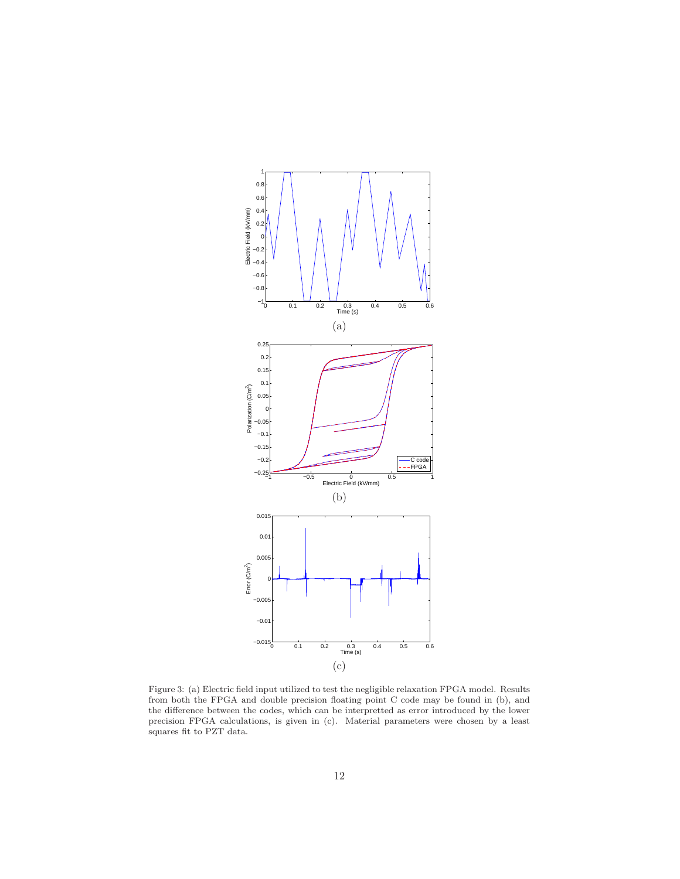

Figure 3: (a) Electric field input utilized to test the negligible relaxation FPGA model. Results from both the FPGA and double precision floating point C code may be found in (b), and the difference between the codes, which can be interpretted as error introduced by the lower precision FPGA calculations, is given in (c). Material parameters were chosen by a least squares fit to PZT data.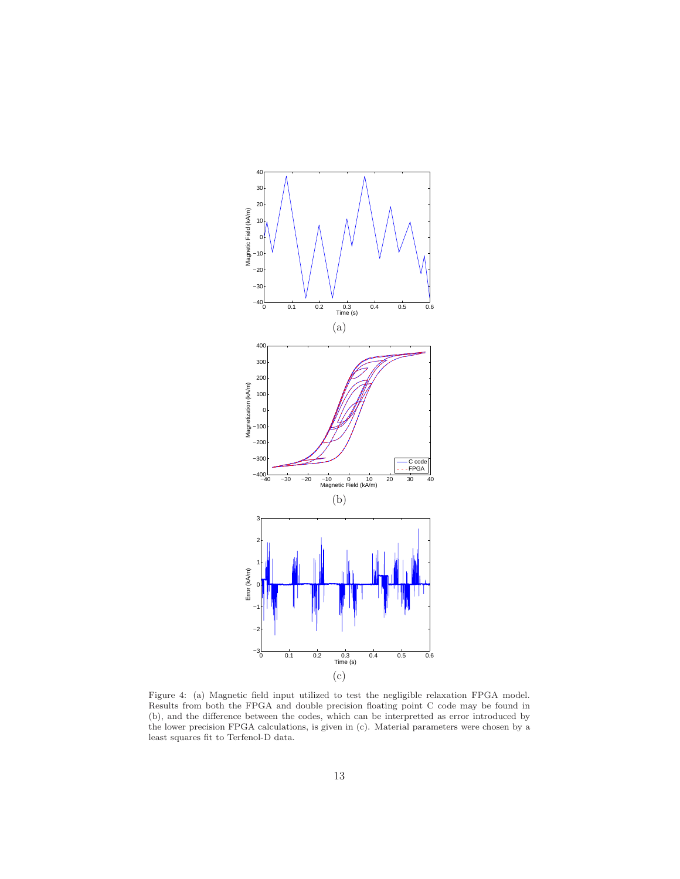

Figure 4: (a) Magnetic field input utilized to test the negligible relaxation FPGA model. Results from both the FPGA and double precision floating point C code may be found in (b), and the difference between the codes, which can be interpretted as error introduced by the lower precision FPGA calculations, is given in (c). Material parameters were chosen by a least squares fit to Terfenol-D data.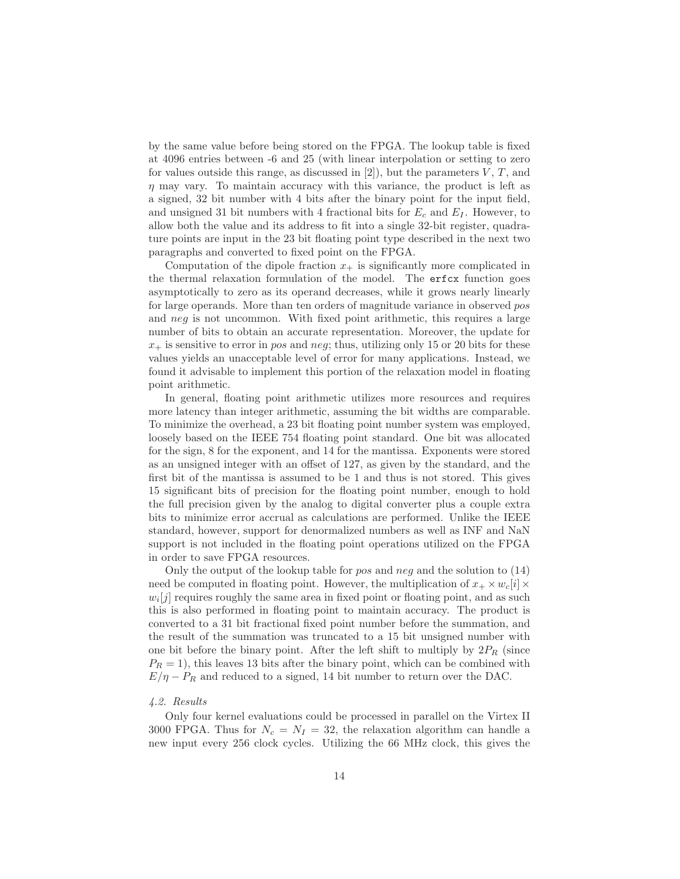by the same value before being stored on the FPGA. The lookup table is fixed at 4096 entries between -6 and 25 (with linear interpolation or setting to zero for values outside this range, as discussed in  $[2]$ , but the parameters V, T, and  $\eta$  may vary. To maintain accuracy with this variance, the product is left as a signed, 32 bit number with 4 bits after the binary point for the input field, and unsigned 31 bit numbers with 4 fractional bits for  $E_c$  and  $E_I$ . However, to allow both the value and its address to fit into a single 32-bit register, quadrature points are input in the 23 bit floating point type described in the next two paragraphs and converted to fixed point on the FPGA.

Computation of the dipole fraction  $x_+$  is significantly more complicated in the thermal relaxation formulation of the model. The erfcx function goes asymptotically to zero as its operand decreases, while it grows nearly linearly for large operands. More than ten orders of magnitude variance in observed pos and  $neq$  is not uncommon. With fixed point arithmetic, this requires a large number of bits to obtain an accurate representation. Moreover, the update for  $x_{+}$  is sensitive to error in pos and neg; thus, utilizing only 15 or 20 bits for these values yields an unacceptable level of error for many applications. Instead, we found it advisable to implement this portion of the relaxation model in floating point arithmetic.

In general, floating point arithmetic utilizes more resources and requires more latency than integer arithmetic, assuming the bit widths are comparable. To minimize the overhead, a 23 bit floating point number system was employed, loosely based on the IEEE 754 floating point standard. One bit was allocated for the sign, 8 for the exponent, and 14 for the mantissa. Exponents were stored as an unsigned integer with an offset of 127, as given by the standard, and the first bit of the mantissa is assumed to be 1 and thus is not stored. This gives 15 significant bits of precision for the floating point number, enough to hold the full precision given by the analog to digital converter plus a couple extra bits to minimize error accrual as calculations are performed. Unlike the IEEE standard, however, support for denormalized numbers as well as INF and NaN support is not included in the floating point operations utilized on the FPGA in order to save FPGA resources.

Only the output of the lookup table for *pos* and *neq* and the solution to  $(14)$ need be computed in floating point. However, the multiplication of  $x_+ \times w_c[i] \times$  $w_i[j]$  requires roughly the same area in fixed point or floating point, and as such this is also performed in floating point to maintain accuracy. The product is converted to a 31 bit fractional fixed point number before the summation, and the result of the summation was truncated to a 15 bit unsigned number with one bit before the binary point. After the left shift to multiply by  $2P_R$  (since  $P_R = 1$ , this leaves 13 bits after the binary point, which can be combined with  $E/\eta - P_R$  and reduced to a signed, 14 bit number to return over the DAC.

## 4.2. Results

Only four kernel evaluations could be processed in parallel on the Virtex II 3000 FPGA. Thus for  $N_c = N_I = 32$ , the relaxation algorithm can handle a new input every 256 clock cycles. Utilizing the 66 MHz clock, this gives the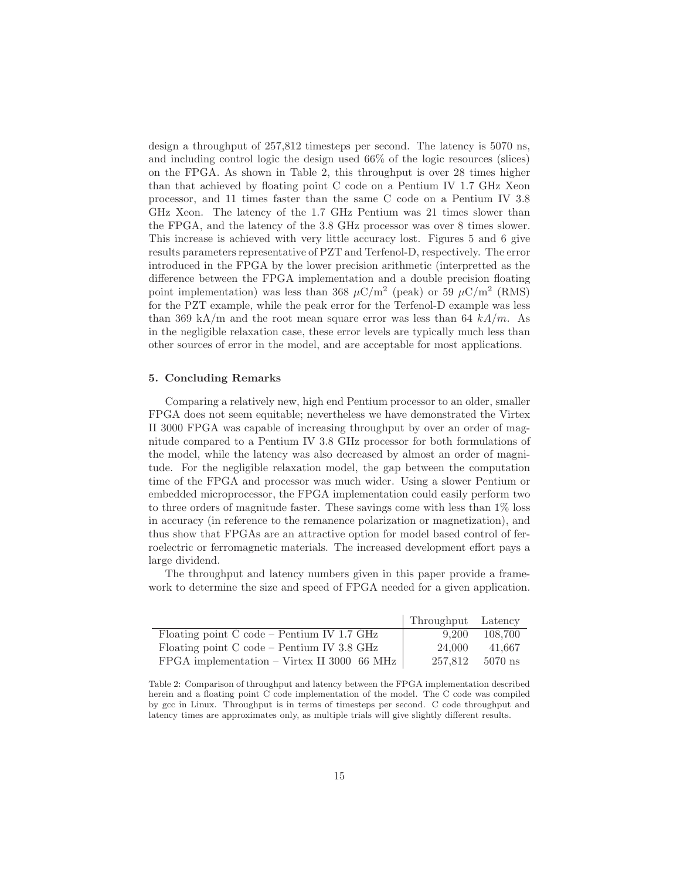design a throughput of 257,812 timesteps per second. The latency is 5070 ns, and including control logic the design used 66% of the logic resources (slices) on the FPGA. As shown in Table 2, this throughput is over 28 times higher than that achieved by floating point C code on a Pentium IV 1.7 GHz Xeon processor, and 11 times faster than the same C code on a Pentium IV 3.8 GHz Xeon. The latency of the 1.7 GHz Pentium was 21 times slower than the FPGA, and the latency of the 3.8 GHz processor was over 8 times slower. This increase is achieved with very little accuracy lost. Figures 5 and 6 give results parameters representative of PZT and Terfenol-D, respectively. The error introduced in the FPGA by the lower precision arithmetic (interpretted as the difference between the FPGA implementation and a double precision floating point implementation) was less than 368  $\mu$ C/m<sup>2</sup> (peak) or 59  $\mu$ C/m<sup>2</sup> (RMS) for the PZT example, while the peak error for the Terfenol-D example was less than 369 kA/m and the root mean square error was less than 64  $kA/m$ . As in the negligible relaxation case, these error levels are typically much less than other sources of error in the model, and are acceptable for most applications.

# 5. Concluding Remarks

Comparing a relatively new, high end Pentium processor to an older, smaller FPGA does not seem equitable; nevertheless we have demonstrated the Virtex II 3000 FPGA was capable of increasing throughput by over an order of magnitude compared to a Pentium IV 3.8 GHz processor for both formulations of the model, while the latency was also decreased by almost an order of magnitude. For the negligible relaxation model, the gap between the computation time of the FPGA and processor was much wider. Using a slower Pentium or embedded microprocessor, the FPGA implementation could easily perform two to three orders of magnitude faster. These savings come with less than 1% loss in accuracy (in reference to the remanence polarization or magnetization), and thus show that FPGAs are an attractive option for model based control of ferroelectric or ferromagnetic materials. The increased development effort pays a large dividend.

The throughput and latency numbers given in this paper provide a framework to determine the size and speed of FPGA needed for a given application.

|                                             | Throughput Latency |           |
|---------------------------------------------|--------------------|-----------|
| Floating point C code – Pentium IV 1.7 GHz  | 9.200              | 108.700   |
| Floating point C code – Pentium IV 3.8 GHz  | 24,000             | 41.667    |
| FPGA implementation – Virtex II 3000 66 MHz | 257,812            | $5070$ ns |

Table 2: Comparison of throughput and latency between the FPGA implementation described herein and a floating point C code implementation of the model. The C code was compiled by gcc in Linux. Throughput is in terms of timesteps per second. C code throughput and latency times are approximates only, as multiple trials will give slightly different results.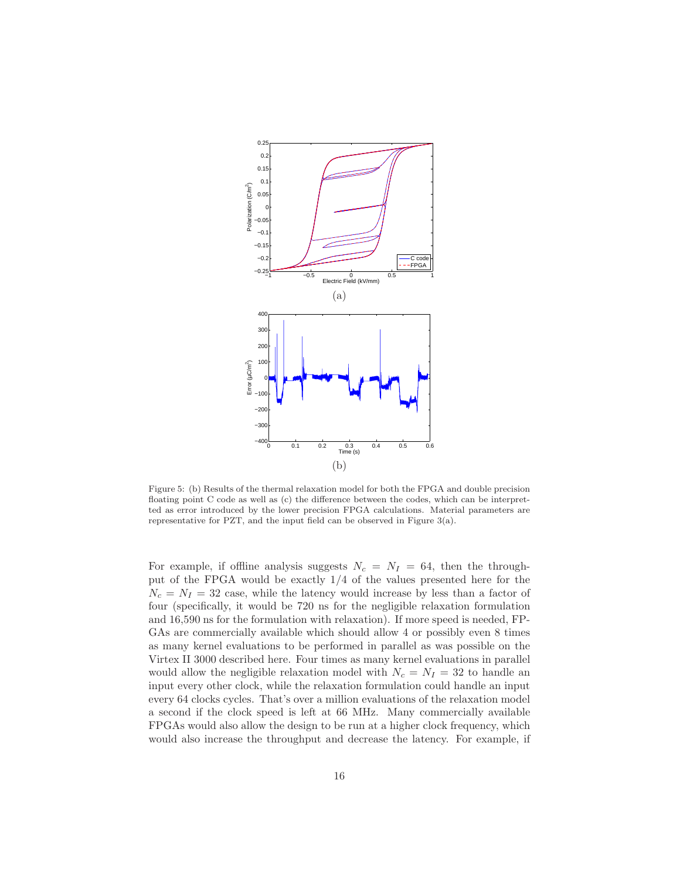

Figure 5: (b) Results of the thermal relaxation model for both the FPGA and double precision floating point C code as well as (c) the difference between the codes, which can be interpretted as error introduced by the lower precision FPGA calculations. Material parameters are representative for PZT, and the input field can be observed in Figure  $3(a)$ .

For example, if offline analysis suggests  $N_c = N_I = 64$ , then the throughput of the FPGA would be exactly 1/4 of the values presented here for the  $N_c = N_I = 32$  case, while the latency would increase by less than a factor of four (specifically, it would be 720 ns for the negligible relaxation formulation and 16,590 ns for the formulation with relaxation). If more speed is needed, FP-GAs are commercially available which should allow 4 or possibly even 8 times as many kernel evaluations to be performed in parallel as was possible on the Virtex II 3000 described here. Four times as many kernel evaluations in parallel would allow the negligible relaxation model with  $N_c = N_I = 32$  to handle an input every other clock, while the relaxation formulation could handle an input every 64 clocks cycles. That's over a million evaluations of the relaxation model a second if the clock speed is left at 66 MHz. Many commercially available FPGAs would also allow the design to be run at a higher clock frequency, which would also increase the throughput and decrease the latency. For example, if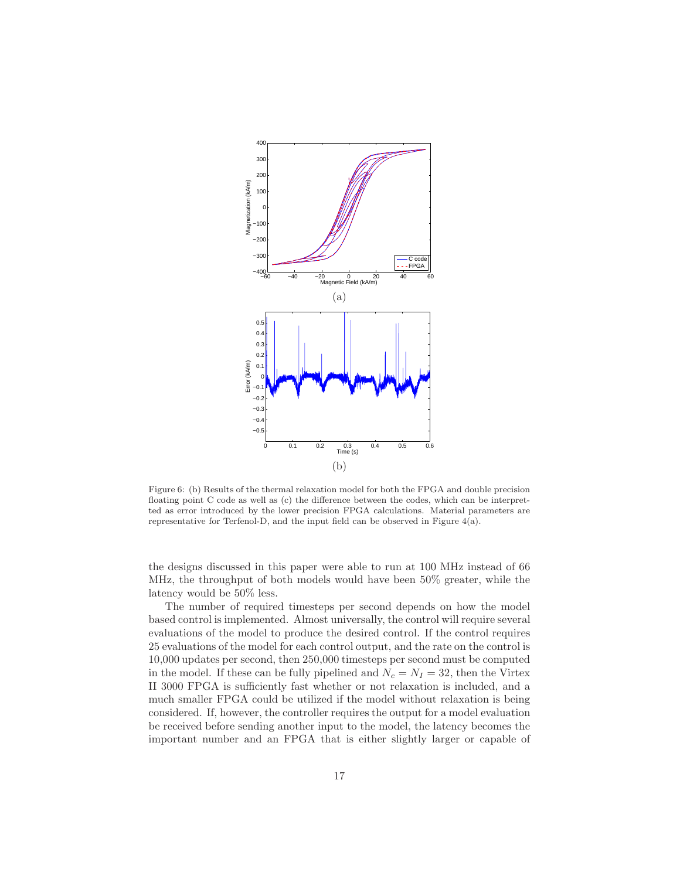

Figure 6: (b) Results of the thermal relaxation model for both the FPGA and double precision floating point C code as well as (c) the difference between the codes, which can be interpretted as error introduced by the lower precision FPGA calculations. Material parameters are representative for Terfenol-D, and the input field can be observed in Figure  $4(a)$ .

the designs discussed in this paper were able to run at 100 MHz instead of 66 MHz, the throughput of both models would have been 50% greater, while the latency would be 50% less.

The number of required timesteps per second depends on how the model based control is implemented. Almost universally, the control will require several evaluations of the model to produce the desired control. If the control requires 25 evaluations of the model for each control output, and the rate on the control is 10,000 updates per second, then 250,000 timesteps per second must be computed in the model. If these can be fully pipelined and  $N_c = N_I = 32$ , then the Virtex II 3000 FPGA is sufficiently fast whether or not relaxation is included, and a much smaller FPGA could be utilized if the model without relaxation is being considered. If, however, the controller requires the output for a model evaluation be received before sending another input to the model, the latency becomes the important number and an FPGA that is either slightly larger or capable of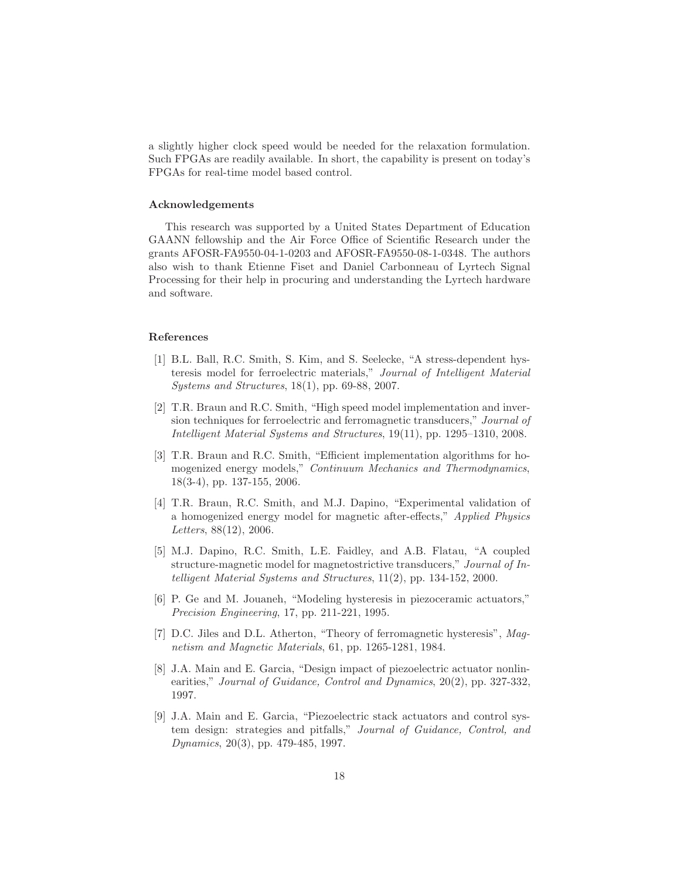a slightly higher clock speed would be needed for the relaxation formulation. Such FPGAs are readily available. In short, the capability is present on today's FPGAs for real-time model based control.

#### Acknowledgements

This research was supported by a United States Department of Education GAANN fellowship and the Air Force Office of Scientific Research under the grants AFOSR-FA9550-04-1-0203 and AFOSR-FA9550-08-1-0348. The authors also wish to thank Etienne Fiset and Daniel Carbonneau of Lyrtech Signal Processing for their help in procuring and understanding the Lyrtech hardware and software.

# References

- [1] B.L. Ball, R.C. Smith, S. Kim, and S. Seelecke, "A stress-dependent hysteresis model for ferroelectric materials," Journal of Intelligent Material Systems and Structures, 18(1), pp. 69-88, 2007.
- [2] T.R. Braun and R.C. Smith, "High speed model implementation and inversion techniques for ferroelectric and ferromagnetic transducers," Journal of Intelligent Material Systems and Structures, 19(11), pp. 1295–1310, 2008.
- [3] T.R. Braun and R.C. Smith, "Efficient implementation algorithms for homogenized energy models," Continuum Mechanics and Thermodynamics, 18(3-4), pp. 137-155, 2006.
- [4] T.R. Braun, R.C. Smith, and M.J. Dapino, "Experimental validation of a homogenized energy model for magnetic after-effects," Applied Physics Letters, 88(12), 2006.
- [5] M.J. Dapino, R.C. Smith, L.E. Faidley, and A.B. Flatau, "A coupled structure-magnetic model for magnetostrictive transducers," Journal of Intelligent Material Systems and Structures, 11(2), pp. 134-152, 2000.
- [6] P. Ge and M. Jouaneh, "Modeling hysteresis in piezoceramic actuators," Precision Engineering, 17, pp. 211-221, 1995.
- [7] D.C. Jiles and D.L. Atherton, "Theory of ferromagnetic hysteresis", Magnetism and Magnetic Materials, 61, pp. 1265-1281, 1984.
- [8] J.A. Main and E. Garcia, "Design impact of piezoelectric actuator nonlinearities," Journal of Guidance, Control and Dynamics, 20(2), pp. 327-332, 1997.
- [9] J.A. Main and E. Garcia, "Piezoelectric stack actuators and control system design: strategies and pitfalls," Journal of Guidance, Control, and Dynamics, 20(3), pp. 479-485, 1997.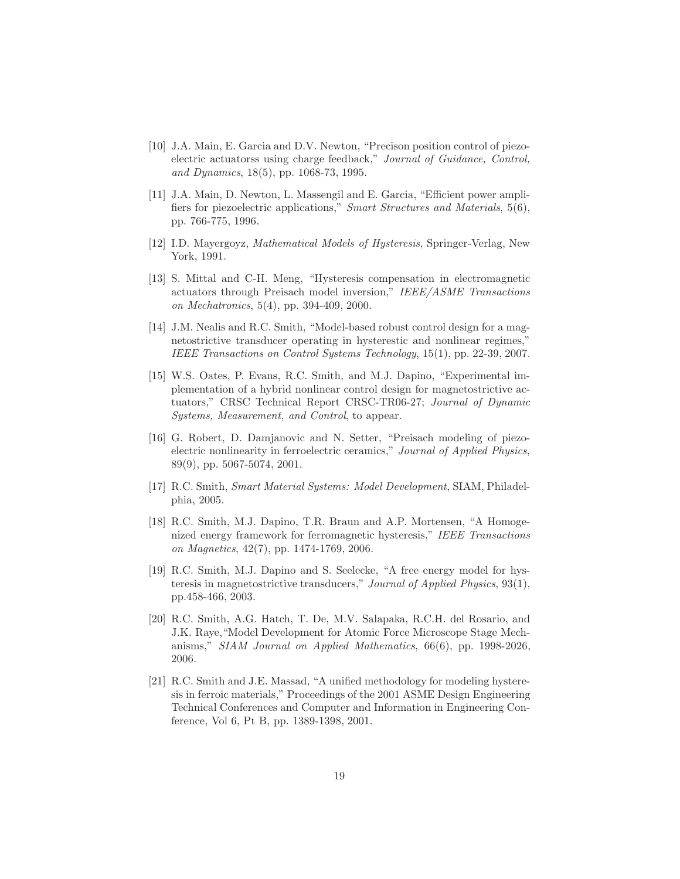- [10] J.A. Main, E. Garcia and D.V. Newton, "Precison position control of piezoelectric actuatorss using charge feedback," Journal of Guidance, Control, and Dynamics, 18(5), pp. 1068-73, 1995.
- [11] J.A. Main, D. Newton, L. Massengil and E. Garcia, "Efficient power amplifiers for piezoelectric applications," Smart Structures and Materials, 5(6), pp. 766-775, 1996.
- [12] I.D. Mayergoyz, Mathematical Models of Hysteresis, Springer-Verlag, New York, 1991.
- [13] S. Mittal and C-H. Meng, "Hysteresis compensation in electromagnetic actuators through Preisach model inversion," IEEE/ASME Transactions on Mechatronics, 5(4), pp. 394-409, 2000.
- [14] J.M. Nealis and R.C. Smith, "Model-based robust control design for a magnetostrictive transducer operating in hysterestic and nonlinear regimes, IEEE Transactions on Control Systems Technology, 15(1), pp. 22-39, 2007.
- [15] W.S. Oates, P. Evans, R.C. Smith, and M.J. Dapino, "Experimental implementation of a hybrid nonlinear control design for magnetostrictive actuators," CRSC Technical Report CRSC-TR06-27; Journal of Dynamic Systems, Measurement, and Control, to appear.
- [16] G. Robert, D. Damjanovic and N. Setter, "Preisach modeling of piezoelectric nonlinearity in ferroelectric ceramics," Journal of Applied Physics, 89(9), pp. 5067-5074, 2001.
- [17] R.C. Smith, Smart Material Systems: Model Development, SIAM, Philadelphia, 2005.
- [18] R.C. Smith, M.J. Dapino, T.R. Braun and A.P. Mortensen, "A Homogenized energy framework for ferromagnetic hysteresis," IEEE Transactions on Magnetics, 42(7), pp. 1474-1769, 2006.
- [19] R.C. Smith, M.J. Dapino and S. Seelecke, "A free energy model for hysteresis in magnetostrictive transducers," Journal of Applied Physics, 93(1), pp.458-466, 2003.
- [20] R.C. Smith, A.G. Hatch, T. De, M.V. Salapaka, R.C.H. del Rosario, and J.K. Raye,"Model Development for Atomic Force Microscope Stage Mechanisms," SIAM Journal on Applied Mathematics, 66(6), pp. 1998-2026, 2006.
- [21] R.C. Smith and J.E. Massad, "A unified methodology for modeling hysteresis in ferroic materials," Proceedings of the 2001 ASME Design Engineering Technical Conferences and Computer and Information in Engineering Conference, Vol 6, Pt B, pp. 1389-1398, 2001.